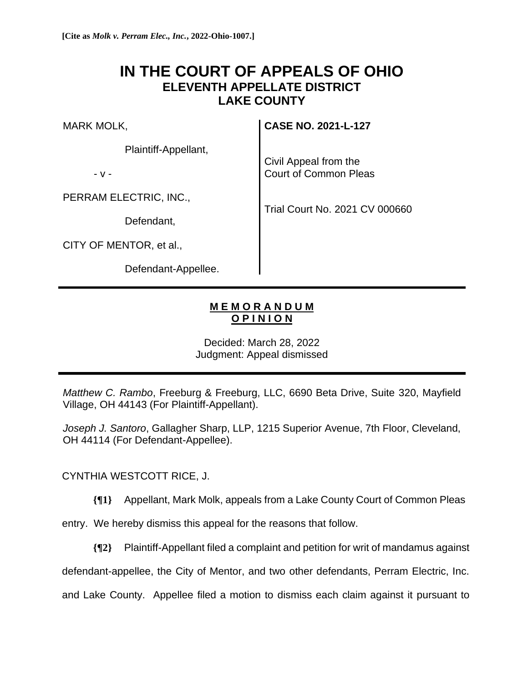## **IN THE COURT OF APPEALS OF OHIO ELEVENTH APPELLATE DISTRICT LAKE COUNTY**

MARK MOLK,

Plaintiff-Appellant,

- v -

PERRAM ELECTRIC, INC.,

Defendant,

CITY OF MENTOR, et al.,

Defendant-Appellee.

**CASE NO. 2021-L-127**

Civil Appeal from the Court of Common Pleas

Trial Court No. 2021 CV 000660

## **M E M O R A N D U M O P I N I O N**

Decided: March 28, 2022 Judgment: Appeal dismissed

*Matthew C. Rambo*, Freeburg & Freeburg, LLC, 6690 Beta Drive, Suite 320, Mayfield Village, OH 44143 (For Plaintiff-Appellant).

*Joseph J. Santoro*, Gallagher Sharp, LLP, 1215 Superior Avenue, 7th Floor, Cleveland, OH 44114 (For Defendant-Appellee).

CYNTHIA WESTCOTT RICE, J.

**{¶1}** Appellant, Mark Molk, appeals from a Lake County Court of Common Pleas

entry. We hereby dismiss this appeal for the reasons that follow.

**{¶2}** Plaintiff-Appellant filed a complaint and petition for writ of mandamus against

defendant-appellee, the City of Mentor, and two other defendants, Perram Electric, Inc.

and Lake County. Appellee filed a motion to dismiss each claim against it pursuant to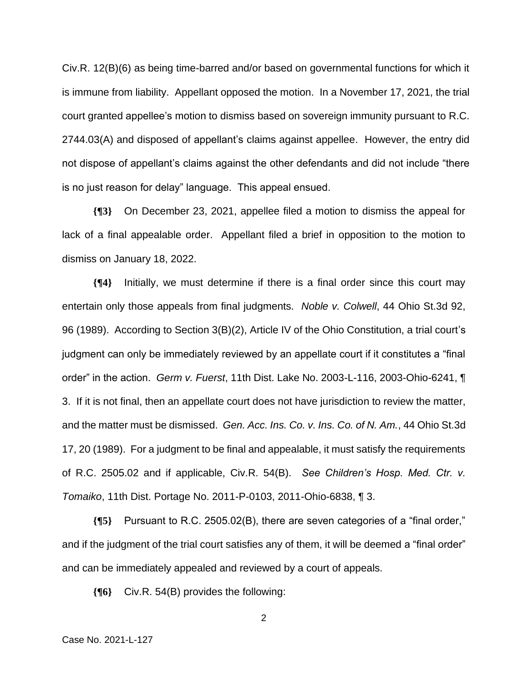Civ.R. 12(B)(6) as being time-barred and/or based on governmental functions for which it is immune from liability. Appellant opposed the motion. In a November 17, 2021, the trial court granted appellee's motion to dismiss based on sovereign immunity pursuant to R.C. 2744.03(A) and disposed of appellant's claims against appellee. However, the entry did not dispose of appellant's claims against the other defendants and did not include "there is no just reason for delay" language. This appeal ensued.

**{¶3}** On December 23, 2021, appellee filed a motion to dismiss the appeal for lack of a final appealable order. Appellant filed a brief in opposition to the motion to dismiss on January 18, 2022.

**{¶4}** Initially, we must determine if there is a final order since this court may entertain only those appeals from final judgments. *Noble v. Colwell*, 44 Ohio St.3d 92, 96 (1989). According to Section 3(B)(2), Article IV of the Ohio Constitution, a trial court's judgment can only be immediately reviewed by an appellate court if it constitutes a "final order" in the action. *Germ v. Fuerst*, 11th Dist. Lake No. 2003-L-116, 2003-Ohio-6241, ¶ 3. If it is not final, then an appellate court does not have jurisdiction to review the matter, and the matter must be dismissed. *Gen. Acc. Ins. Co. v. Ins. Co. of N. Am.*, 44 Ohio St.3d 17, 20 (1989). For a judgment to be final and appealable, it must satisfy the requirements of R.C. 2505.02 and if applicable, Civ.R. 54(B). *See Children's Hosp. Med. Ctr. v. Tomaiko*, 11th Dist. Portage No. 2011-P-0103, 2011-Ohio-6838, ¶ 3.

**{¶5}** Pursuant to R.C. 2505.02(B), there are seven categories of a "final order," and if the judgment of the trial court satisfies any of them, it will be deemed a "final order" and can be immediately appealed and reviewed by a court of appeals.

**{¶6}** Civ.R. 54(B) provides the following:

2